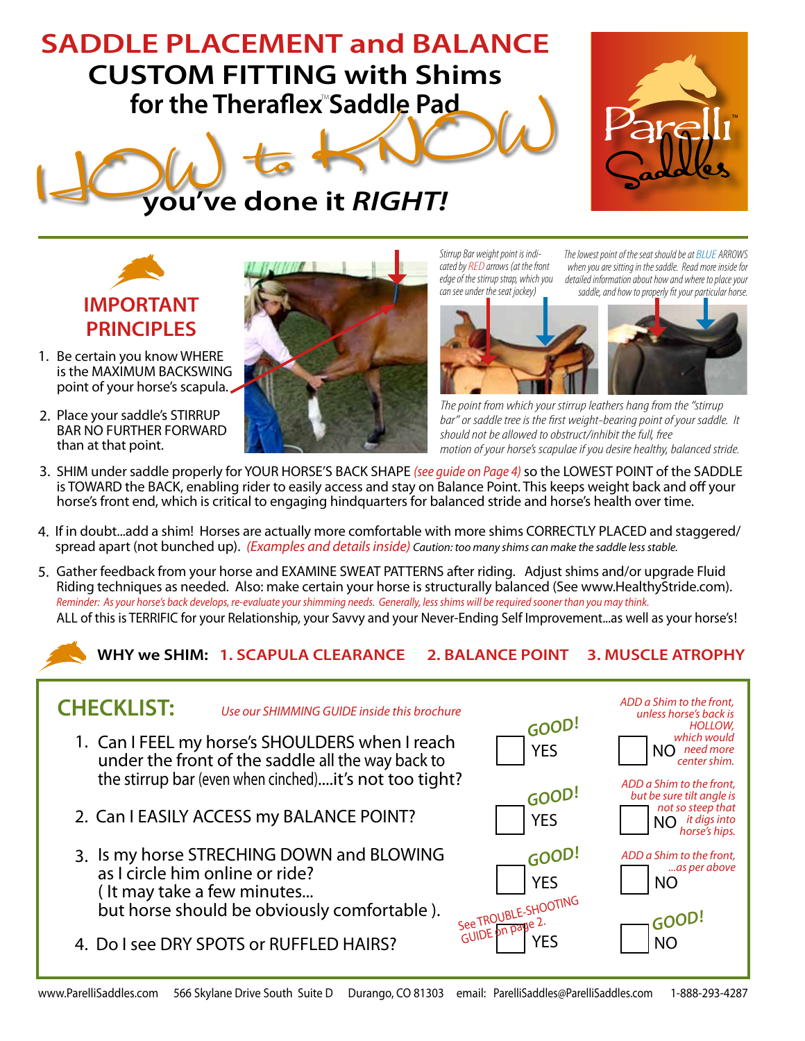## **SADDLE PLACEMENT and BALANCE CUSTOM FITTING with Shims**







- 1. Be certain you know WHERE is the MAXIMUM BACKSWING point of your horse's scapula.
- 2. Place your saddle's STIRRUP BAR NO FURTHER FORWARD than at that point.



*Stirrup Bar weight point is indicated by RED arrows (at the front edge of the stirrup strap, which you can see under the seat jockey)*

*The lowest point of the seat should be at BLUE ARROWS when you are sitting in the saddle. Read more inside for detailed information about how and where to place your saddle, and how to properly fit your particular horse.*



*The point from which your stirrup leathers hang from the "stirrup bar" or saddle tree is the first weight-bearing point of your saddle. It should not be allowed to obstruct/inhibit the full, free motion of your horse's scapulae if you desire healthy, balanced stride.*

- 3. SHIM under saddle properly for YOUR HORSE'S BACK SHAPE *(see guide on Page 4)* so the LOWEST POINT of the SADDLE is TOWARD the BACK, enabling rider to easily access and stay on Balance Point. This keeps weight back and off your horse's front end, which is critical to engaging hindquarters for balanced stride and horse's health over time.
- 4. If in doubt...add a shim! Horses are actually more comfortable with more shims CORRECTLY PLACED and staggered/ spread apart (not bunched up). *(Examples and details inside) Caution: too many shims can make the saddle less stable.*
- 5. Gather feedback from your horse and EXAMINE SWEAT PATTERNS after riding. Adjust shims and/or upgrade Fluid Riding techniques as needed. Also: make certain your horse is structurally balanced (See www.HealthyStride.com). ALL of this is TERRIFIC for your Relationship, your Savvy and your Never-Ending Self Improvement...as well as your horse's! *Reminder: As your horse's back develops, re-evaluate your shimming needs. Generally, less shims will be required sooner than you may think.*

**WHY we SHIM: 1. SCAPULA CLEARANCE 2. BALANCE POINT 3. MUSCLE ATROPHY**

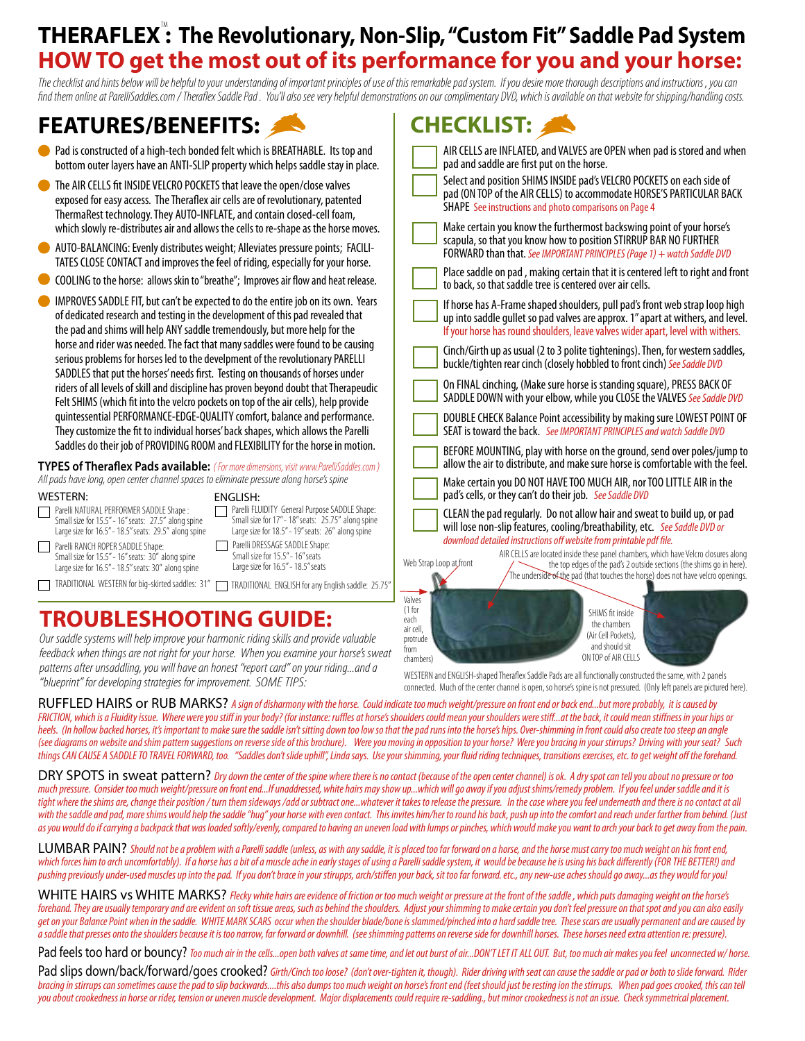## **THERAFLEX : The Revolutionary, Non-Slip, "Custom Fit" Saddle Pad System** TM **HOW TO get the most out of its performance for you and your horse:**

*The checklist and hints below will be helpful to your understanding of important principles of use of this remarkable pad system. If you desire more thorough descriptions and instructions , you can find them online at ParelliSaddles.com / Theraflex Saddle Pad . You'll also see very helpful demonstrations on our complimentary DVD, which is available on that website for shipping/handling costs.*

**CHECKLIST:**

## **FEATURES/BENEFITS:**

| Pad is constructed of a high-tech bonded felt which is BREATHABLE. Its top and                                                                                                                                                                                                                                                                         | AIR CELLS are INFLATED, and VALVES are OPEN when pad is stored and when                                                                                                                                                                                                     |
|--------------------------------------------------------------------------------------------------------------------------------------------------------------------------------------------------------------------------------------------------------------------------------------------------------------------------------------------------------|-----------------------------------------------------------------------------------------------------------------------------------------------------------------------------------------------------------------------------------------------------------------------------|
| bottom outer layers have an ANTI-SLIP property which helps saddle stay in place.                                                                                                                                                                                                                                                                       | pad and saddle are first put on the horse.                                                                                                                                                                                                                                  |
| The AIR CELLS fit INSIDE VELCRO POCKETS that leave the open/close valves                                                                                                                                                                                                                                                                               | Select and position SHIMS INSIDE pad's VELCRO POCKETS on each side of                                                                                                                                                                                                       |
| exposed for easy access. The Theraflex air cells are of revolutionary, patented                                                                                                                                                                                                                                                                        | pad (ON TOP of the AIR CELLS) to accommodate HORSE'S PARTICULAR BACK                                                                                                                                                                                                        |
| ThermaRest technology. They AUTO-INFLATE, and contain closed-cell foam,                                                                                                                                                                                                                                                                                | SHAPE See instructions and photo comparisons on Page 4                                                                                                                                                                                                                      |
| which slowly re-distributes air and allows the cells to re-shape as the horse moves.                                                                                                                                                                                                                                                                   | Make certain you know the furthermost backswing point of your horse's                                                                                                                                                                                                       |
| AUTO-BALANCING: Evenly distributes weight; Alleviates pressure points; FACILI-                                                                                                                                                                                                                                                                         | scapula, so that you know how to position STIRRUP BAR NO FURTHER                                                                                                                                                                                                            |
| TATES CLOSE CONTACT and improves the feel of riding, especially for your horse.                                                                                                                                                                                                                                                                        | FORWARD than that. See IMPORTANT PRINCIPLES (Page 1) + watch Saddle DVD                                                                                                                                                                                                     |
| COOLING to the horse: allows skin to "breathe"; Improves air flow and heat release.                                                                                                                                                                                                                                                                    | Place saddle on pad, making certain that it is centered left to right and front<br>to back, so that saddle tree is centered over air cells.                                                                                                                                 |
| IMPROVES SADDLE FIT, but can't be expected to do the entire job on its own. Years                                                                                                                                                                                                                                                                      | If horse has A-Frame shaped shoulders, pull pad's front web strap loop high                                                                                                                                                                                                 |
| of dedicated research and testing in the development of this pad revealed that                                                                                                                                                                                                                                                                         | up into saddle gullet so pad valves are approx. 1" apart at withers, and level.                                                                                                                                                                                             |
| the pad and shims will help ANY saddle tremendously, but more help for the                                                                                                                                                                                                                                                                             | If your horse has round shoulders, leave valves wider apart, level with withers.                                                                                                                                                                                            |
| horse and rider was needed. The fact that many saddles were found to be causing<br>serious problems for horses led to the develpment of the revolutionary PARELLI<br>SADDLES that put the horses' needs first. Testing on thousands of horses under                                                                                                    | Cinch/Girth up as usual (2 to 3 polite tightenings). Then, for western saddles,<br>buckle/tighten rear cinch (closely hobbled to front cinch) See Saddle DVD                                                                                                                |
| riders of all levels of skill and discipline has proven beyond doubt that Therapeudic                                                                                                                                                                                                                                                                  | On FINAL cinching, (Make sure horse is standing square), PRESS BACK OF                                                                                                                                                                                                      |
| Felt SHIMS (which fit into the velcro pockets on top of the air cells), help provide                                                                                                                                                                                                                                                                   | SADDLE DOWN with your elbow, while you CLOSE the VALVES See Saddle DVD                                                                                                                                                                                                      |
| quintessential PERFORMANCE-EDGE-QUALITY comfort, balance and performance.                                                                                                                                                                                                                                                                              | DOUBLE CHECK Balance Point accessibility by making sure LOWEST POINT OF                                                                                                                                                                                                     |
| They customize the fit to individual horses' back shapes, which allows the Parelli                                                                                                                                                                                                                                                                     | SEAT is toward the back. See IMPORTANT PRINCIPLES and watch Saddle DVD                                                                                                                                                                                                      |
| Saddles do their job of PROVIDING ROOM and FLEXIBILITY for the horse in motion.                                                                                                                                                                                                                                                                        | BEFORE MOUNTING, play with horse on the ground, send over poles/jump to                                                                                                                                                                                                     |
| <b>TYPES of Theraflex Pads available:</b> (For more dimensions, visit www.ParelliSaddles.com)                                                                                                                                                                                                                                                          | allow the air to distribute, and make sure horse is comfortable with the feel.                                                                                                                                                                                              |
| All pads have long, open center channel spaces to eliminate pressure along horse's spine<br><b>WESTERN:</b><br><b>ENGLISH:</b>                                                                                                                                                                                                                         | Make certain you DO NOT HAVE TOO MUCH AIR, nor TOO LITTLE AIR in the<br>pad's cells, or they can't do their job. See Saddle DVD                                                                                                                                             |
| Parelli FLUIDITY General Purpose SADDLE Shape:<br>Parelli NATURAL PERFORMER SADDLE Shape:<br>Small size for 17" - 18" seats: 25.75" along spine<br>Small size for 15.5" - 16" seats: 27.5" along spine<br>Large size for 18.5" - 19" seats: 26" along spine<br>Large size for 16.5" - 18.5" seats: 29.5" along spine<br>Parelli DRESSAGE SADDLE Shape: | CLEAN the pad regularly. Do not allow hair and sweat to build up, or pad<br>will lose non-slip features, cooling/breathability, etc. See Saddle DVD or<br>download detailed instructions off website from printable pdf file.                                               |
| Parelli RANCH ROPER SADDLE Shape:<br>Small size for 15.5" - 16" seats<br>Small size for 15.5" - 16" seats: 30" along spine<br>Large size for 16.5" - 18.5" seats<br>Large size for 16.5" - 18.5" seats: 30" along spine<br>TRADITIONAL WESTERN for big-skirted saddles: 31"                                                                            | AIR CELLS are located inside these panel chambers, which have Velcro closures along<br>Web Strap Loop at front<br>the top edges of the pad's 2 outside sections (the shims go in here).<br>The underside of the pad (that touches the horse) does not have velcro openings. |
| TRADITIONAL ENGLISH for any English saddle: 25.75"<br><b>TROUBLESHOOTING GUIDE:</b>                                                                                                                                                                                                                                                                    | Valves<br>(1 for<br>SHIMS fit inside<br>each<br>the chambers<br>air cell                                                                                                                                                                                                    |

*Our saddle systems will help improve your harmonic riding skills and provide valuable feedback when things are not right for your horse. When you examine your horse's sweat patterns after unsaddling, you will have an honest "report card" on your riding...and a "blueprint" for developing strategies for improvement. SOME TIPS:*

WESTERN and ENGLISH-shaped Theraflex Saddle Pads are all functionally constructed the same, with 2 panels connected. Much of the center channel is open, so horse's spine is not pressured. (Only left panels are pictured here).

(Air Cell Pockets), and should sit ON TOP of AIR CELLS

RUFFLED HAIRS or RUB MARKS? *A sign of disharmony with the horse. Could indicate too much weight/pressure on front end or back end...but more probably, it is caused by*  FRICTION, which is a Fluidity issue. Where were you stiff in your body? (for instance: ruffles at horse's shoulders could mean your shoulders were stiff...at the back, it could mean stiffness in your hips or heels. (In hollow backed horses, it's important to make sure the saddle isn't sitting down too low so that the pad runs into the horse's hips. Over-shimming in front could also create too steep an angle *(see diagrams on website and shim pattern suggestions on reverse side of this brochure). Were you moving in opposition to your horse? Were you bracing in your stirrups? Driving with your seat? Such things CAN CAUSE A SADDLE TO TRAVEL FORWARD, too. "Saddles don't slide uphill", Linda says. Use your shimming, your fluid riding techniques, transitions exercises, etc. to get weight off the forehand.* 

air cell, protrude from chambers)

DRY SPOTS in sweat pattern? *Dry down the center of the spine where there is no contact (because of the open center channel) is ok. A dry spot can tell you about no pressure or too much pressure. Consider too much weight/pressure on front end...If unaddressed, white hairs may show up...which will go away if you adjust shims/remedy problem. If you feel under saddle and it is*  tight where the shims are, change their position / turn them sideways /add or subtract one...whatever it takes to release the pressure. In the case where you feel underneath and there is no contact at all with the saddle and pad, more shims would help the saddle "huq" your horse with even contact. This invites him/her to round his back, push up into the comfort and reach under farther from behind. (Just *as you would do if carrying a backpack that was loaded softly/evenly, compared to having an uneven load with lumps or pinches, which would make you want to arch your back to get away from the pain.* 

LUMBAR PAIN? *Should not be a problem with a Parelli saddle (unless, as with any saddle, it is placed too far forward on a horse, and the horse must carry too much weight on his front end,*  which forces him to arch uncomfortably). If a horse has a bit of a muscle ache in early stages of using a Parelli saddle system, it would be because he is using his back differently (FOR THE BETTER!) and *pushing previously under-used muscles up into the pad. If you don't brace in your stirupps, arch/stiffen your back, sit too far forward. etc., any new-use aches should go away...as they would for you!*

WHITE HAIRS vs WHITE MARKS? Flecky white hairs are evidence of friction or too much weight or pressure at the front of the saddle, which puts damaging weight on the horse's forehand. They are usually temporary and are evident on soft tissue areas, such as behind the shoulders. Adjust your shimming to make certain you don't feel pressure on that spot and you can also easily *get on your Balance Point when in the saddle. WHITE MARK SCARS occur when the shoulder blade/bone is slammed/pinched into a hard saddle tree. These scars are usually permanent and are caused by a saddle that presses onto the shoulders because it is too narrow, far forward or downhill. (see shimming patterns on reverse side for downhill horses. These horses need extra attention re: pressure).*

Pad feels too hard or bouncy? *Too much air in the cells...open both valves at same time, and let out burst of air...DON'T LET IT ALL OUT. But, too much air makes you feel unconnected w/ horse.* 

Pad slips down/back/forward/qoes crooked? Girth/Cinch too loose? (don't over-tighten it, though). Rider driving with seat can cause the saddle or pad or both to slide forward. Rider bracing in stirrups can sometimes cause the pad to slip backwards....this also dumps too much weight on horse's front end (feet should just be resting ion the stirrups. When pad goes crooked, this can tell *you about crookedness in horse or rider, tension or uneven muscle development. Major displacements could require re-saddling., but minor crookedness is not an issue. Check symmetrical placement.*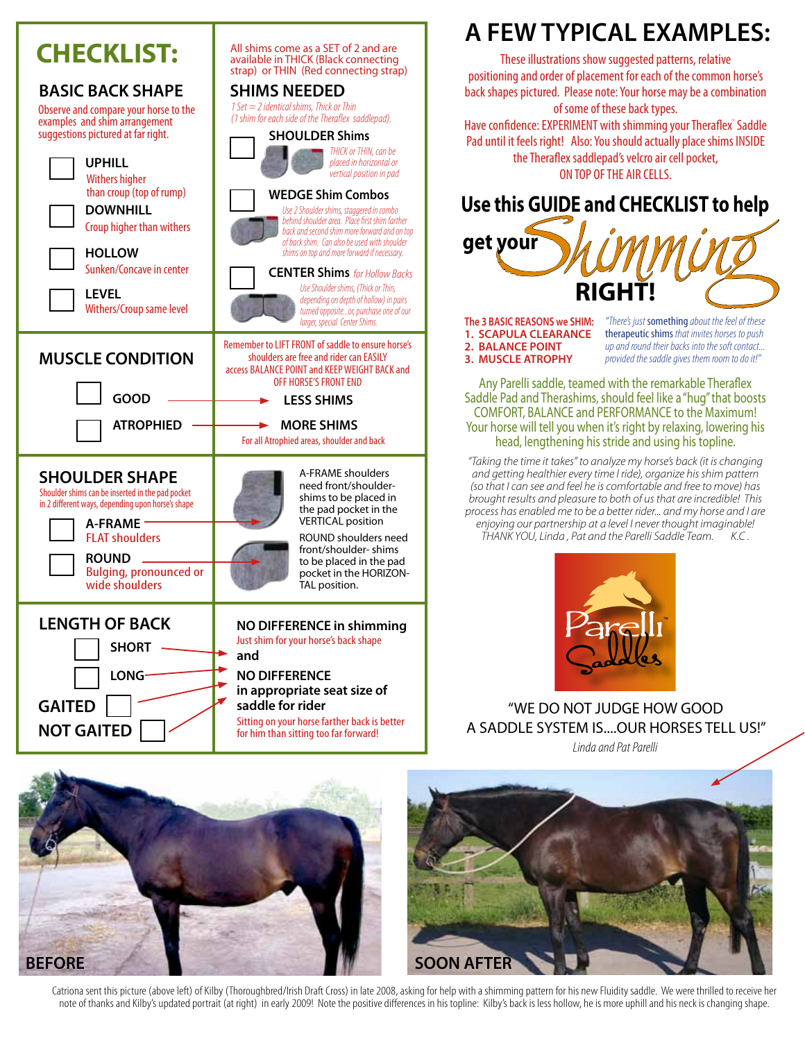

## **A FEW TYPICAL EXAMPLES:**

These illustrations show suggested patterns, relative positioning and order of placement for each of the common horse's back shapes pictured. Please note: Your horse may be a combination of some of these back types.

Have confidence: EXPERIMENT with shimming your Theraflex" Saddle Pad until it feels right! Also: You should actually place shims INSIDE the Theraflex saddlepad's velcro air cell pocket, ON TOP OF THE AIR CELLS.



**The 3 BASIC REASONS we SHIM: 1. SCAPULA CLEARANCE 2. BALANCE POINT 3. MUSCLE ATROPHY**

*"There's just* something *about the feel of these*  therapeutic shims *that invites horses to push up and round their backs into the soft contact... provided the saddle gives them room to do it!"*

Any Parelli saddle, teamed with the remarkable Theraflex Saddle Pad and Therashims, should feel like a "hug" that boosts COMFORT, BALANCE and PERFORMANCE to the Maximum! Your horse will tell you when it's right by relaxing, lowering his head, lengthening his stride and using his topline.

*"Taking the time it takes" to analyze my horse's back (it is changing and getting healthier every time I ride), organize his shim pattern (so that I can see and feel he is comfortable and free to move) has brought results and pleasure to both of us that are incredible! This process has enabled me to be a better rider... and my horse and I are enjoying our partnership at a level I never thought imaginable! THANK YOU, Linda , Pat and the Parelli Saddle Team. K.C .* 



"WE DO NOT JUDGE HOW GOOD A SADDLE SYSTEM IS....OUR HORSES TELL US!"  *Linda and Pat Parelli*

**BEFORE** SOON AFTER



Catriona sent this picture (above left) of Kilby (Thoroughbred/Irish Draft Cross) in late 2008, asking for help with a shimming pattern for his new Fluidity saddle. We were thrilled to receive her note of thanks and Kilby's updated portrait (at right) in early 2009! Note the positive differences in his topline: Kilby's back is less hollow, he is more uphill and his neck is changing shape.